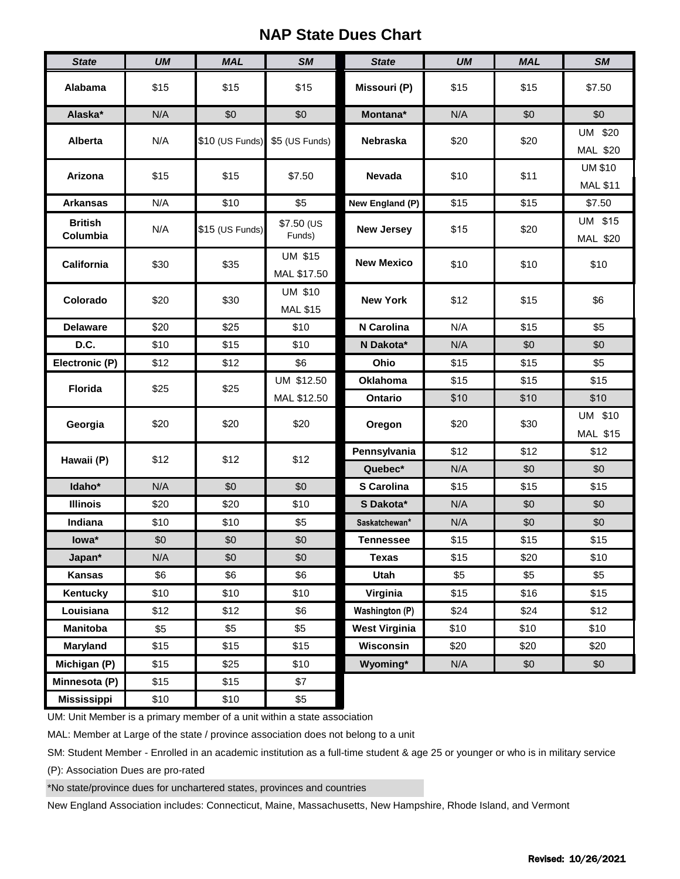## **NAP State Dues Chart**

| <b>State</b>               | <b>UM</b> | <b>MAL</b>      | <b>SM</b>                         | <b>State</b>         | <b>UM</b> | <b>MAL</b> | <b>SM</b>                         |  |
|----------------------------|-----------|-----------------|-----------------------------------|----------------------|-----------|------------|-----------------------------------|--|
| Alabama                    | \$15      | \$15            | \$15                              | Missouri (P)         | \$15      | \$15       | \$7.50                            |  |
| Alaska*                    | N/A       | \$0             | \$0                               | Montana*             | N/A       | \$0        | \$0                               |  |
| <b>Alberta</b>             | N/A       | \$10 (US Funds) | \$5 (US Funds)                    | <b>Nebraska</b>      | \$20      | \$20       | UM \$20<br>MAL \$20               |  |
| Arizona                    | \$15      | \$15            | \$7.50                            | <b>Nevada</b>        | \$10      | \$11       | <b>UM \$10</b><br><b>MAL \$11</b> |  |
| <b>Arkansas</b>            | N/A       | \$10            | \$5                               | New England (P)      | \$15      | \$15       | \$7.50                            |  |
| <b>British</b><br>Columbia | N/A       | \$15 (US Funds) | $$7.50$ (US<br>Funds)             | <b>New Jersey</b>    | \$15      | \$20       | UM \$15<br>MAL \$20               |  |
| <b>California</b>          | \$30      | \$35            | <b>UM \$15</b><br>MAL \$17.50     | <b>New Mexico</b>    | \$10      | \$10       | \$10                              |  |
| Colorado                   | \$20      | \$30            | <b>UM \$10</b><br><b>MAL \$15</b> | <b>New York</b>      | \$12      | \$15       | \$6                               |  |
| <b>Delaware</b>            | \$20      | \$25            | \$10                              | N Carolina           | N/A       | \$15       | \$5                               |  |
| D.C.                       | \$10      | \$15            | \$10                              | N Dakota*            | N/A       | \$0        | \$0                               |  |
| Electronic (P)             | \$12      | \$12            | \$6                               | Ohio                 | \$15      | \$15       | \$5                               |  |
| <b>Florida</b>             | \$25      | \$25            | UM \$12.50                        | Oklahoma             | \$15      | \$15       | \$15                              |  |
|                            |           |                 | MAL \$12.50                       | Ontario              | \$10      | \$10       | \$10                              |  |
| Georgia                    | \$20      | \$20            | \$20                              | Oregon               | \$20      | \$30       | UM \$10<br>MAL \$15               |  |
| Hawaii (P)                 | \$12      | \$12            | \$12                              | Pennsylvania         | \$12      | \$12       | \$12                              |  |
|                            |           |                 |                                   | Quebec*              | N/A       | \$0        | \$0                               |  |
| Idaho*                     | N/A       | \$0             | \$0                               | <b>S</b> Carolina    | \$15      | \$15       | \$15                              |  |
| <b>Illinois</b>            | \$20      | \$20            | \$10                              | S Dakota*            | N/A       | \$0        | \$0                               |  |
| Indiana                    | \$10      | \$10            | \$5                               | Saskatchewan*        | N/A       | \$0        | \$0                               |  |
| lowa*                      | \$0       | \$0             | \$0                               | <b>Tennessee</b>     | \$15      | \$15       | \$15                              |  |
| Japan*                     | N/A       | \$0             | \$0                               | <b>Texas</b>         | \$15      | \$20       | \$10                              |  |
| <b>Kansas</b>              | \$6       | \$6             | \$6                               | Utah                 | \$5       | \$5        | \$5                               |  |
| Kentucky                   | \$10      | \$10            | \$10                              | Virginia             | \$15      | \$16       | \$15                              |  |
| Louisiana                  | \$12      | \$12            | \$6                               | Washington (P)       | \$24      | \$24       | \$12                              |  |
| <b>Manitoba</b>            | \$5       | \$5             | \$5                               | <b>West Virginia</b> | \$10      | \$10       | \$10                              |  |
| Maryland                   | \$15      | \$15            | \$15                              | Wisconsin            | \$20      | \$20       | \$20                              |  |
| Michigan (P)               | \$15      | \$25            | \$10                              | Wyoming*             | N/A       | \$0        | \$0                               |  |
| Minnesota (P)              | \$15      | \$15            | \$7                               |                      |           |            |                                   |  |
| <b>Mississippi</b>         | \$10      | \$10            | \$5                               |                      |           |            |                                   |  |

UM: Unit Member is a primary member of a unit within a state association

MAL: Member at Large of the state / province association does not belong to a unit

SM: Student Member - Enrolled in an academic institution as a full-time student & age 25 or younger or who is in military service

(P): Association Dues are pro-rated

\*No state/province dues for unchartered states, provinces and countries

New England Association includes: Connecticut, Maine, Massachusetts, New Hampshire, Rhode Island, and Vermont